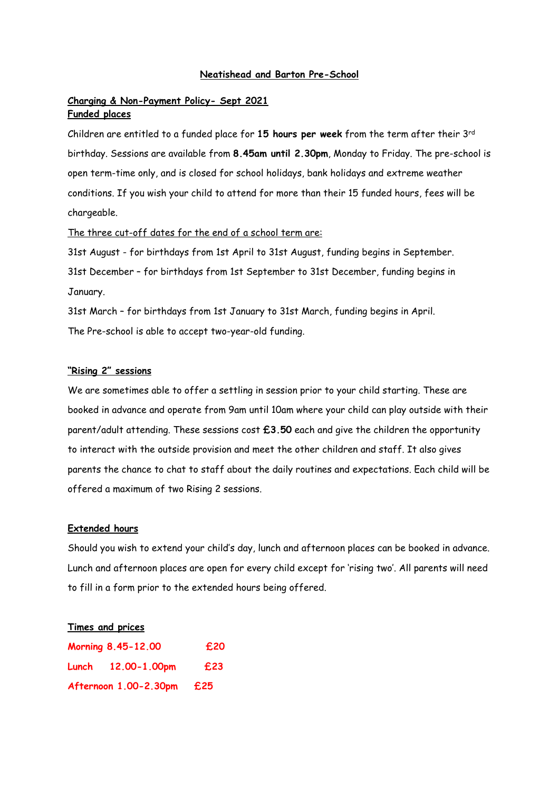### **Neatishead and Barton Pre-School**

# **Charging & Non-Payment Policy- Sept 2021 Funded places**

Children are entitled to a funded place for **15 hours per week** from the term after their 3rd birthday. Sessions are available from **8.45am until 2.30pm**, Monday to Friday. The pre-school is open term-time only, and is closed for school holidays, bank holidays and extreme weather conditions. If you wish your child to attend for more than their 15 funded hours, fees will be chargeable.

The three cut-off dates for the end of a school term are:

31st August - for birthdays from 1st April to 31st August, funding begins in September. 31st December – for birthdays from 1st September to 31st December, funding begins in January.

31st March – for birthdays from 1st January to 31st March, funding begins in April. The Pre-school is able to accept two-year-old funding.

## **"Rising 2" sessions**

We are sometimes able to offer a settling in session prior to your child starting. These are booked in advance and operate from 9am until 10am where your child can play outside with their parent/adult attending. These sessions cost **£3.50** each and give the children the opportunity to interact with the outside provision and meet the other children and staff. It also gives parents the chance to chat to staff about the daily routines and expectations. Each child will be offered a maximum of two Rising 2 sessions.

### **Extended hours**

Should you wish to extend your child's day, lunch and afternoon places can be booked in advance. Lunch and afternoon places are open for every child except for 'rising two'. All parents will need to fill in a form prior to the extended hours being offered.

### **Times and prices**

| Morning 8.45-12.00    |                    | £20 |
|-----------------------|--------------------|-----|
|                       | Lunch 12.00-1.00pm | £23 |
| Afternoon 1.00-2.30pm |                    | £25 |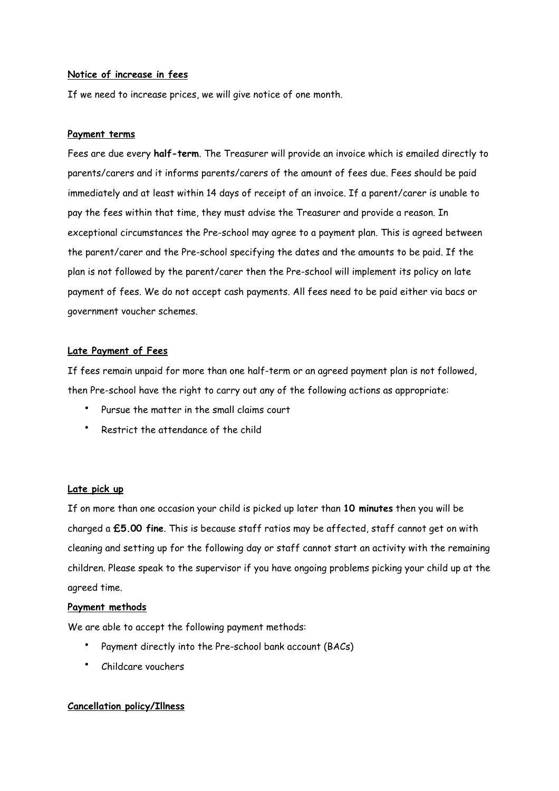## **Notice of increase in fees**

If we need to increase prices, we will give notice of one month.

### **Payment terms**

Fees are due every **half-term**. The Treasurer will provide an invoice which is emailed directly to parents/carers and it informs parents/carers of the amount of fees due. Fees should be paid immediately and at least within 14 days of receipt of an invoice. If a parent/carer is unable to pay the fees within that time, they must advise the Treasurer and provide a reason. In exceptional circumstances the Pre-school may agree to a payment plan. This is agreed between the parent/carer and the Pre-school specifying the dates and the amounts to be paid. If the plan is not followed by the parent/carer then the Pre-school will implement its policy on late payment of fees. We do not accept cash payments. All fees need to be paid either via bacs or government voucher schemes.

## **Late Payment of Fees**

If fees remain unpaid for more than one half-term or an agreed payment plan is not followed, then Pre-school have the right to carry out any of the following actions as appropriate:

- Pursue the matter in the small claims court
- Restrict the attendance of the child

## **Late pick up**

If on more than one occasion your child is picked up later than **10 minutes** then you will be charged a **£5.00 fine**. This is because staff ratios may be affected, staff cannot get on with cleaning and setting up for the following day or staff cannot start an activity with the remaining children. Please speak to the supervisor if you have ongoing problems picking your child up at the agreed time.

### **Payment methods**

We are able to accept the following payment methods:

- Payment directly into the Pre-school bank account (BACs)
- Childcare vouchers

## **Cancellation policy/Illness**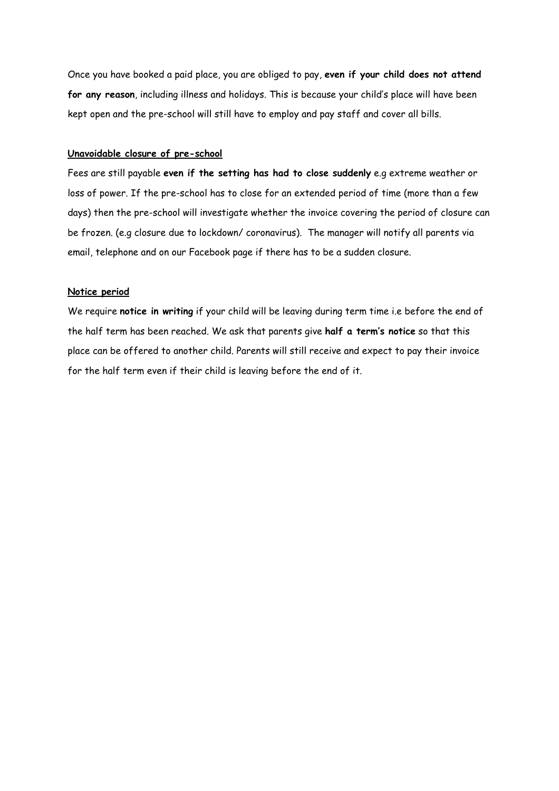Once you have booked a paid place, you are obliged to pay, **even if your child does not attend for any reason**, including illness and holidays. This is because your child's place will have been kept open and the pre-school will still have to employ and pay staff and cover all bills.

## **Unavoidable closure of pre-school**

Fees are still payable **even if the setting has had to close suddenly** e.g extreme weather or loss of power. If the pre-school has to close for an extended period of time (more than a few days) then the pre-school will investigate whether the invoice covering the period of closure can be frozen. (e.g closure due to lockdown/ coronavirus). The manager will notify all parents via email, telephone and on our Facebook page if there has to be a sudden closure.

### **Notice period**

We require **notice in writing** if your child will be leaving during term time i.e before the end of the half term has been reached. We ask that parents give **half a term's notice** so that this place can be offered to another child. Parents will still receive and expect to pay their invoice for the half term even if their child is leaving before the end of it.